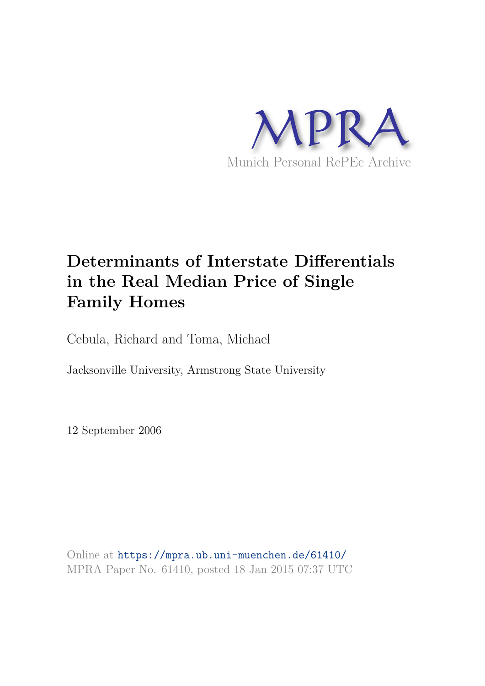

# **Determinants of Interstate Differentials in the Real Median Price of Single Family Homes**

Cebula, Richard and Toma, Michael

Jacksonville University, Armstrong State University

12 September 2006

Online at https://mpra.ub.uni-muenchen.de/61410/ MPRA Paper No. 61410, posted 18 Jan 2015 07:37 UTC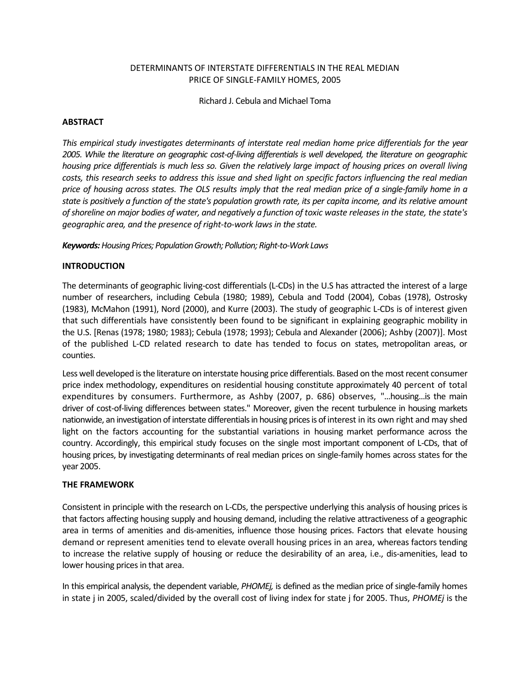# DETERMINANTS OF INTERSTATE DIFFERENTIALS IN THE REAL MEDIAN PRICE OF SINGLE-FAMILY HOMES, 2005

Richard J. Cebula and Michael Toma

#### **ABSTRACT**

*This empirical study investigates determinants of interstate real median home price differentials for the year 2005. While the literature on geographic cost-of-living differentials is well developed, the literature on geographic housing price differentials is much less so. Given the relatively large impact of housing prices on overall living costs, this research seeks to address this issue and shed light on specific factors influencing the real median price of housing across states. The OLS results imply that the real median price of a single-family home in a state is positively a function of the state's population growth rate, its per capita income, and its relative amount of shoreline on major bodies of water, and negatively a function of toxic waste releases in the state, the state's geographic area, and the presence of right-to-work laws in the state.* 

*Keywords: Housing Prices; Population Growth; Pollution; Right-to-Work Laws* 

### **INTRODUCTION**

The determinants of geographic living-cost differentials (L-CDs) in the U.S has attracted the interest of a large number of researchers, including Cebula (1980; 1989), Cebula and Todd (2004), Cobas (1978), Ostrosky (1983), McMahon (1991), Nord (2000), and Kurre (2003). The study of geographic L-CDs is of interest given that such differentials have consistently been found to be significant in explaining geographic mobility in the U.S. [Renas (1978; 1980; 1983); Cebula (1978; 1993); Cebula and Alexander (2006); Ashby (2007)]. Most of the published L-CD related research to date has tended to focus on states, metropolitan areas, or counties.

Less well developed is the literature on interstate housing price differentials. Based on the most recent consumer price index methodology, expenditures on residential housing constitute approximately 40 percent of total expenditures by consumers. Furthermore, as Ashby (2007, p. 686) observes, "...housing...is the main driver of cost-of-living differences between states." Moreover, given the recent turbulence in housing markets nationwide, an investigation of interstate differentials in housing prices is of interest in its own right and may shed light on the factors accounting for the substantial variations in housing market performance across the country. Accordingly, this empirical study focuses on the single most important component of L-CDs, that of housing prices, by investigating determinants of real median prices on single-family homes across states for the year 2005.

#### **THE FRAMEWORK**

Consistent in principle with the research on L-CDs, the perspective underlying this analysis of housing prices is that factors affecting housing supply and housing demand, including the relative attractiveness of a geographic area in terms of amenities and dis-amenities, influence those housing prices. Factors that elevate housing demand or represent amenities tend to elevate overall housing prices in an area, whereas factors tending to increase the relative supply of housing or reduce the desirability of an area, i.e., dis-amenities, lead to lower housing prices in that area.

In this empirical analysis, the dependent variable, *PHOMEj,* is defined as the median price of single-family homes in state j in 2005, scaled/divided by the overall cost of living index for state j for 2005. Thus, *PHOMEj* is the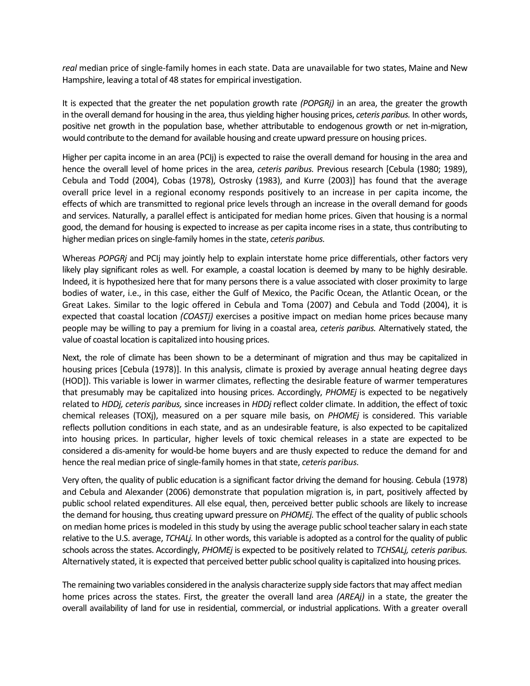*real* median price of single-family homes in each state. Data are unavailable for two states, Maine and New Hampshire, leaving a total of 48 states for empirical investigation.

It is expected that the greater the net population growth rate *(POPGRj)* in an area, the greater the growth in the overall demand for housing in the area, thus yielding higher housing prices, *ceteris paribus.* In other words, positive net growth in the population base, whether attributable to endogenous growth or net in-migration, would contribute to the demand for available housing and create upward pressure on housing prices.

Higher per capita income in an area (PCIj) is expected to raise the overall demand for housing in the area and hence the overall level of home prices in the area, *ceteris paribus.* Previous research [Cebula (1980; 1989), Cebula and Todd (2004), Cobas (1978), Ostrosky (1983), and Kurre (2003)] has found that the average overall price level in a regional economy responds positively to an increase in per capita income, the effects of which are transmitted to regional price levels through an increase in the overall demand for goods and services. Naturally, a parallel effect is anticipated for median home prices. Given that housing is a normal good, the demand for housing is expected to increase as per capita income rises in a state, thus contributing to higher median prices on single-family homes in the state, *ceteris paribus.*

Whereas *POPGRj* and PCIj may jointly help to explain interstate home price differentials, other factors very likely play significant roles as well. For example, a coastal location is deemed by many to be highly desirable. Indeed, it is hypothesized here that for many persons there is a value associated with closer proximity to large bodies of water, i.e., in this case, either the Gulf of Mexico, the Pacific Ocean, the Atlantic Ocean, or the Great Lakes. Similar to the logic offered in Cebula and Toma (2007) and Cebula and Todd (2004), it is expected that coastal location *(COASTj)* exercises a positive impact on median home prices because many people may be willing to pay a premium for living in a coastal area, *ceteris paribus.* Alternatively stated, the value of coastal location is capitalized into housing prices.

Next, the role of climate has been shown to be a determinant of migration and thus may be capitalized in housing prices [Cebula (1978)]. In this analysis, climate is proxied by average annual heating degree days (HOD]). This variable is lower in warmer climates, reflecting the desirable feature of warmer temperatures that presumably may be capitalized into housing prices. Accordingly, *PHOMEj* is expected to be negatively related to *HDDj, ceteris paribus,* since increases in *HDDj* reflect colder climate. In addition, the effect of toxic chemical releases (TOXj), measured on a per square mile basis, on *PHOMEj* is considered. This variable reflects pollution conditions in each state, and as an undesirable feature, is also expected to be capitalized into housing prices. In particular, higher levels of toxic chemical releases in a state are expected to be considered a dis-amenity for would-be home buyers and are thusly expected to reduce the demand for and hence the real median price of single-family homes in that state, *ceteris paribus.*

Very often, the quality of public education is a significant factor driving the demand for housing. Cebula (1978) and Cebula and Alexander (2006) demonstrate that population migration is, in part, positively affected by public school related expenditures. All else equal, then, perceived better public schools are likely to increase the demand for housing, thus creating upward pressure on *PHOMEj.* The effect of the quality of public schools on median home prices is modeled in this study by using the average public school teacher salary in each state relative to the U.S. average, *TCHALj.* In other words, this variable is adopted as a control for the quality of public schools across the states. Accordingly, *PHOMEj* is expected to be positively related to *TCHSALj, ceteris paribus.*  Alternatively stated, it is expected that perceived better public school quality is capitalized into housing prices.

The remaining two variables considered in the analysis characterize supply side factors that may affect median home prices across the states. First, the greater the overall land area *(AREAj)* in a state, the greater the overall availability of land for use in residential, commercial, or industrial applications. With a greater overall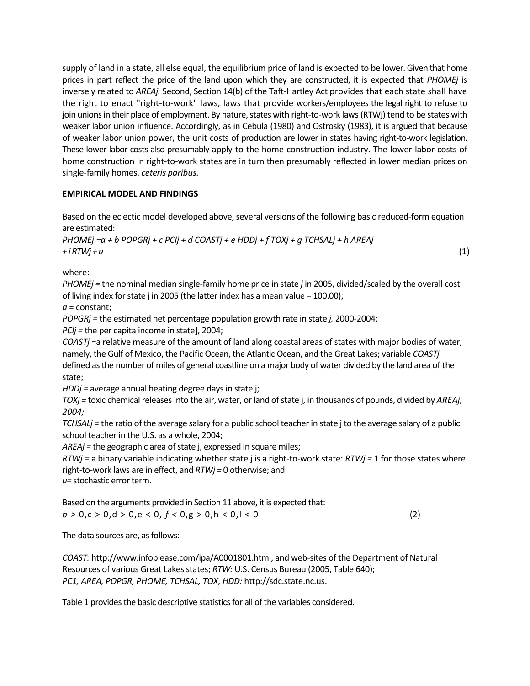supply of land in a state, all else equal, the equilibrium price of land is expected to be lower. Given that home prices in part reflect the price of the land upon which they are constructed, it is expected that *PHOMEj* is inversely related to *AREAj.* Second, Section 14(b) of the Taft-Hartley Act provides that each state shall have the right to enact "right-to-work" laws, laws that provide workers/employees the legal right to refuse to join unions in their place of employment. By nature, states with right-to-work laws (RTWj) tend to be states with weaker labor union influence. Accordingly, as in Cebula (1980) and Ostrosky (1983), it is argued that because of weaker labor union power, the unit costs of production are lower in states having right-to-work legislation. These lower labor costs also presumably apply to the home construction industry. The lower labor costs of home construction in right-to-work states are in turn then presumably reflected in lower median prices on single-family homes, *ceteris paribus.*

# **EMPIRICAL MODEL AND FINDINGS**

Based on the eclectic model developed above, several versions of the following basic reduced-form equation are estimated:

*PHOMEj =a + b POPGRj + c PCIj + d COASTj + e HDDj + f TOXj + g TCHSALj + h AREAj + i RTWj + u* (1)

where:

*PHOMEj =* the nominal median single-family home price in state *j* in 2005, divided/scaled by the overall cost of living index for state j in 2005 (the latter index has a mean value = 100.00);

*a* = constant;

*POPGRj =* the estimated net percentage population growth rate in state *j,* 2000-2004;

*PCIj =* the per capita income in state], 2004;

*COASTj* =a relative measure of the amount of land along coastal areas of states with major bodies of water, namely, the Gulf of Mexico, the Pacific Ocean, the Atlantic Ocean, and the Great Lakes; variable *COASTj*  defined as the number of miles of general coastline on a major body of water divided by the land area of the state;

*HDDj =* average annual heating degree days in state j;

*TOXj =* toxic chemical releases into the air, water, or land of state j, in thousands of pounds, divided by *AREAj, 2004;* 

*TCHSALj =* the ratio of the average salary for a public school teacher in state j to the average salary of a public school teacher in the U.S. as a whole, 2004;

*AREAj =* the geographic area of state j, expressed in square miles;

*RTWj =* a binary variable indicating whether state j is a right-to-work state: *RTWj =* 1 for those states where right-to-work laws are in effect, and *RTWj =* 0 otherwise; and

*u=* stochastic error term.

Based on the arguments provided in Section 11 above, it is expected that:  $b > 0, c > 0, d > 0, e < 0, f < 0, g > 0, h < 0, l < 0$  (2)

The data sources are, as follows:

*COAST:* http://www.infoplease.com/ipa/A0001801.html, and web-sites of the Department of Natural Resources of various Great Lakes states; *RTW:* U.S. Census Bureau (2005, Table 640); *PC1, AREA, POPGR, PHOME, TCHSAL, TOX, HDD:* http://sdc.state.nc.us.

Table 1 provides the basic descriptive statistics for all of the variables considered.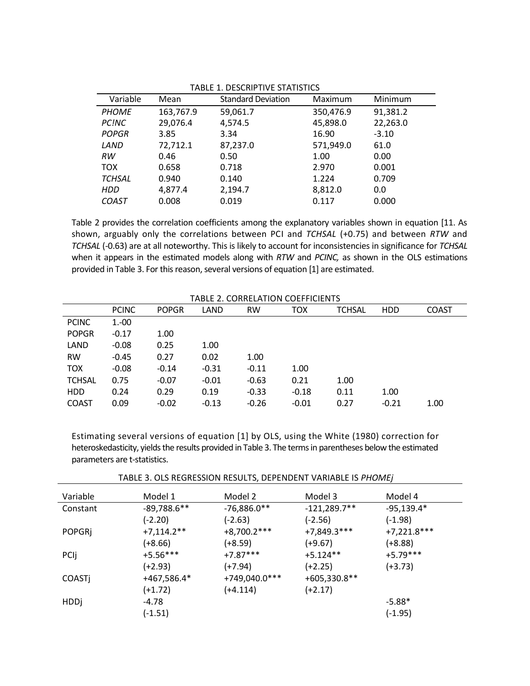| Variable      | Mean      | <b>Standard Deviation</b> | Maximum   | Minimum  |  |  |
|---------------|-----------|---------------------------|-----------|----------|--|--|
| <b>PHOME</b>  | 163,767.9 | 59,061.7                  | 350,476.9 | 91,381.2 |  |  |
| PC!NC         | 29,076.4  | 4,574.5                   | 45,898.0  | 22,263.0 |  |  |
| <b>POPGR</b>  | 3.85      | 3.34                      | 16.90     | $-3.10$  |  |  |
| LAND          | 72,712.1  | 87,237.0                  | 571,949.0 | 61.0     |  |  |
| RW            | 0.46      | 0.50                      | 1.00      | 0.00     |  |  |
| <b>TOX</b>    | 0.658     | 0.718                     | 2.970     | 0.001    |  |  |
| <b>TCHSAL</b> | 0.940     | 0.140                     | 1.224     | 0.709    |  |  |
| HDD           | 4,877.4   | 2,194.7                   | 8,812.0   | 0.0      |  |  |
| <b>COAST</b>  | 0.008     | 0.019                     | 0.117     | 0.000    |  |  |

TABLE 1. DESCRIPTIVE STATISTICS

Table 2 provides the correlation coefficients among the explanatory variables shown in equation [11. As shown, arguably only the correlations between PCI and *TCHSAL* (+0.75) and between *RTW* and *TCHSAL* (-0.63) are at all noteworthy. This is likely to account for inconsistencies in significance for *TCHSAL*  when it appears in the estimated models along with *RTW* and *PCINC,* as shown in the OLS estimations provided in Table 3. For this reason, several versions of equation [1] are estimated.

TABLE 2. CORRELATION COEFFICIENTS

| TABLE 2. CORRELATION COEFFICIENTS |              |              |         |           |         |               |            |              |
|-----------------------------------|--------------|--------------|---------|-----------|---------|---------------|------------|--------------|
|                                   | <b>PCINC</b> | <b>POPGR</b> | LAND    | <b>RW</b> | тох     | <b>TCHSAL</b> | <b>HDD</b> | <b>COAST</b> |
| <b>PCINC</b>                      | $1 - 00$     |              |         |           |         |               |            |              |
| <b>POPGR</b>                      | $-0.17$      | 1.00         |         |           |         |               |            |              |
| LAND                              | $-0.08$      | 0.25         | 1.00    |           |         |               |            |              |
| <b>RW</b>                         | $-0.45$      | 0.27         | 0.02    | 1.00      |         |               |            |              |
| <b>TOX</b>                        | $-0.08$      | $-0.14$      | $-0.31$ | $-0.11$   | 1.00    |               |            |              |
| <b>TCHSAL</b>                     | 0.75         | $-0.07$      | $-0.01$ | $-0.63$   | 0.21    | 1.00          |            |              |
| <b>HDD</b>                        | 0.24         | 0.29         | 0.19    | $-0.33$   | $-0.18$ | 0.11          | 1.00       |              |
| <b>COAST</b>                      | 0.09         | $-0.02$      | $-0.13$ | $-0.26$   | $-0.01$ | 0.27          | $-0.21$    | 1.00         |

Estimating several versions of equation [1] by OLS, using the White (1980) correction for heteroskedasticity, yields the results provided in Table 3. The terms in parentheses below the estimated parameters are t-statistics.

TABLE 3. OLS REGRESSION RESULTS, DEPENDENT VARIABLE IS *PHOMEj* 

| Variable      | Model 1       | Model 2       | Model 3        | Model 4       |
|---------------|---------------|---------------|----------------|---------------|
| Constant      | $-89,788.6**$ | $-76,886.0**$ | $-121,289.7**$ | $-95,139.4*$  |
|               | $(-2.20)$     | $(-2.63)$     | $(-2.56)$      | (-1.98)       |
| <b>POPGRI</b> | $+7,114.2**$  | $+8,700.2***$ | $+7,849.3***$  | $+7,221.8***$ |
|               | $(+8.66)$     | $(+8.59)$     | $(+9.67)$      | (+8.88)       |
| PCII          | $+5.56***$    | $+7.87***$    | $+5.124**$     | $+5.79***$    |
|               | $(+2.93)$     | $(+7.94)$     | $(+2.25)$      | (+3.73)       |
| <b>COASTI</b> | +467,586.4*   | +749,040.0*** | $+605,330.8**$ |               |
|               | $(+1.72)$     | $(+4.114)$    | $(+2.17)$      |               |
| <b>HDDj</b>   | -4.78         |               |                | $-5.88*$      |
|               | $(-1.51)$     |               |                | (-1.95)       |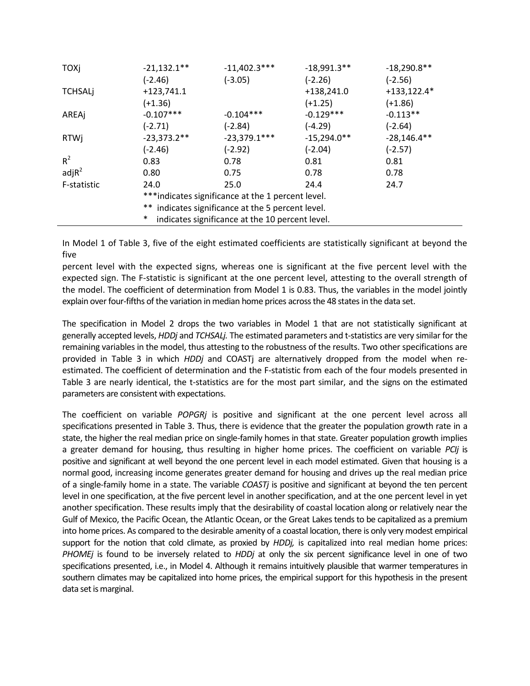| TOXj                                              | $-21,132.1**$                                             | $-11,402.3***$ | $-18,991.3**$ | $-18,290.8**$ |  |  |
|---------------------------------------------------|-----------------------------------------------------------|----------------|---------------|---------------|--|--|
|                                                   | $(-2.46)$                                                 | $(-3.05)$      | $(-2.26)$     | $(-2.56)$     |  |  |
| <b>TCHSALj</b>                                    | $+123,741.1$                                              |                | $+138,241.0$  | $+133,122.4*$ |  |  |
|                                                   | (+1.36)                                                   |                | $(+1.25)$     | $(+1.86)$     |  |  |
| AREAj                                             | $-0.107***$                                               | $-0.104***$    | $-0.129***$   | $-0.113**$    |  |  |
|                                                   | $(-2.71)$                                                 | $(-2.84)$      | $(-4.29)$     | (-2.64)       |  |  |
| <b>RTWj</b>                                       | $-23,373.2**$                                             | $-23,379.1***$ | $-15,294.0**$ | $-28,146.4**$ |  |  |
|                                                   | $(-2.46)$                                                 | $(-2.92)$      | $(-2.04)$     | $(-2.57)$     |  |  |
| $R^2$                                             | 0.83                                                      | 0.78           | 0.81          | 0.81          |  |  |
| adjR <sup>2</sup>                                 | 0.80                                                      | 0.75           | 0.78          | 0.78          |  |  |
| F-statistic                                       | 24.0                                                      | 25.0           | 24.4          | 24.7          |  |  |
| ***indicates significance at the 1 percent level. |                                                           |                |               |               |  |  |
|                                                   | ** indicates significance at the 5 percent level.         |                |               |               |  |  |
|                                                   | $\ast$<br>indicates significance at the 10 percent level. |                |               |               |  |  |

In Model 1 of Table 3, five of the eight estimated coefficients are statistically significant at beyond the five

percent level with the expected signs, whereas one is significant at the five percent level with the expected sign. The F-statistic is significant at the one percent level, attesting to the overall strength of the model. The coefficient of determination from Model 1 is 0.83. Thus, the variables in the model jointly explain over four-fifths of the variation in median home prices across the 48 states in the data set.

The specification in Model 2 drops the two variables in Model 1 that are not statistically significant at generally accepted levels, *HDDj* and *TCHSALj.* The estimated parameters and t-statistics are very similar for the remaining variables in the model, thus attesting to the robustness of the results. Two other specifications are provided in Table 3 in which *HDDj* and COASTj are alternatively dropped from the model when reestimated. The coefficient of determination and the F-statistic from each of the four models presented in Table 3 are nearly identical, the t-statistics are for the most part similar, and the signs on the estimated parameters are consistent with expectations.

The coefficient on variable *POPGRj* is positive and significant at the one percent level across all specifications presented in Table 3. Thus, there is evidence that the greater the population growth rate in a state, the higher the real median price on single-family homes in that state. Greater population growth implies a greater demand for housing, thus resulting in higher home prices. The coefficient on variable *PCIj* is positive and significant at well beyond the one percent level in each model estimated. Given that housing is a normal good, increasing income generates greater demand for housing and drives up the real median price of a single-family home in a state. The variable *COASTj* is positive and significant at beyond the ten percent level in one specification, at the five percent level in another specification, and at the one percent level in yet another specification. These results imply that the desirability of coastal location along or relatively near the Gulf of Mexico, the Pacific Ocean, the Atlantic Ocean, or the Great Lakes tends to be capitalized as a premium into home prices. As compared to the desirable amenity of a coastal location, there is only very modest empirical support for the notion that cold climate, as proxied by *HDDj,* is capitalized into real median home prices: *PHOMEj* is found to be inversely related to *HDDj* at only the six percent significance level in one of two specifications presented, i.e., in Model 4. Although it remains intuitively plausible that warmer temperatures in southern climates may be capitalized into home prices, the empirical support for this hypothesis in the present data set is marginal.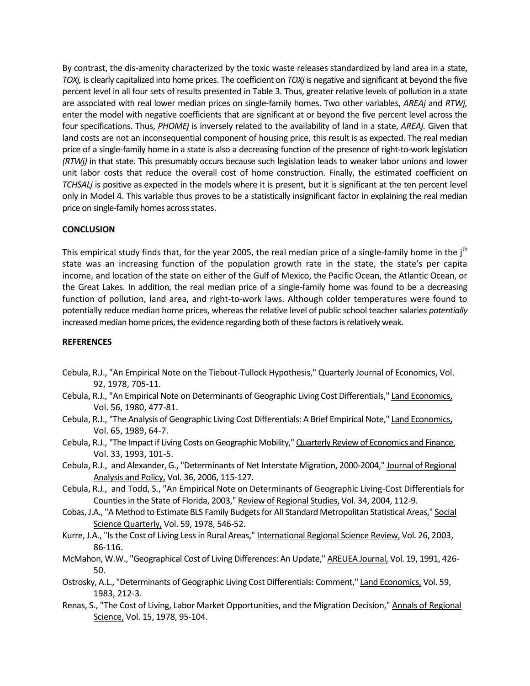By contrast, the dis-amenity characterized by the toxic waste releases standardized by land area in a state, *TOXj,* is clearly capitalized into home prices. The coefficient on *TOXj* is negative and significant at beyond the five percent level in all four sets of results presented in Table 3. Thus, greater relative levels of pollution in a state are associated with real lower median prices on single-family homes. Two other variables, *AREAj* and *RTWj,*  enter the model with negative coefficients that are significant at or beyond the five percent level across the four specifications. Thus, *PHOMEj* is inversely related to the availability of land in a state, *AREAj.* Given that land costs are not an inconsequential component of housing price, this result is as expected. The real median price of a single-family home in a state is also a decreasing function of the presence of right-to-work legislation *(RTWj)* in that state. This presumably occurs because such legislation leads to weaker labor unions and lower unit labor costs that reduce the overall cost of home construction. Finally, the estimated coefficient on *TCHSALj* is positive as expected in the models where it is present, but it is significant at the ten percent level only in Model 4. This variable thus proves to be a statistically insignificant factor in explaining the real median price on single-family homes across states.

# **CONCLUSION**

This empirical study finds that, for the year 2005, the real median price of a single-family home in the j<sup>th</sup> state was an increasing function of the population growth rate in the state, the state's per capita income, and location of the state on either of the Gulf of Mexico, the Pacific Ocean, the Atlantic Ocean, or the Great Lakes. In addition, the real median price of a single-family home was found to be a decreasing function of pollution, land area, and right-to-work laws. Although colder temperatures were found to potentially reduce median home prices, whereas the relative level of public school teacher salaries *potentially*  increased median home prices, the evidence regarding both of these factors is relatively weak.

# **REFERENCES**

- Cebula, R.J., "An Empirical Note on the Tiebout-Tullock Hypothesis," Quarterly Journal of Economics, Vol. 92, 1978, 705-11.
- Cebula, R.J., "An Empirical Note on Determinants of Geographic Living Cost Differentials," Land Economics, Vol. 56, 1980, 477-81.
- Cebula, R.J., "The Analysis of Geographic Living Cost Differentials: A Brief Empirical Note," Land Economics, Vol. 65, 1989, 64-7.
- Cebula, R.J., "The Impact if Living Costs on Geographic Mobility," Quarterly Review of Economics and Finance, Vol. 33, 1993, 101-5.
- Cebula, R.J., and Alexander, G., "Determinants of Net Interstate Migration, 2000-2004," Journal of Regional Analysis and Policy, Vol. 36, 2006, 115-127.
- Cebula, R.J., and Todd, S., "An Empirical Note on Determinants of Geographic Living-Cost Differentials for Counties in the State of Florida, 2003," Review of Regional Studies, Vol. 34, 2004, 112-9.
- Cobas, J.A., "A Method to Estimate BLS Family Budgets for All Standard Metropolitan Statistical Areas," Social Science Quarterly, Vol. 59, 1978, 546-52.
- Kurre, J.A., "Is the Cost of Living Less in Rural Areas," International Regional Science Review, Vol. 26, 2003, 86-116.
- McMahon, W.W., "Geographical Cost of Living Differences: An Update," AREUEA Journal, Vol. 19, 1991, 426- 50.
- Ostrosky, A.L., "Determinants of Geographic Living Cost Differentials: Comment," Land Economics, Vol. 59, 1983, 212-3.
- Renas, S., "The Cost of Living, Labor Market Opportunities, and the Migration Decision," Annals of Regional Science, Vol. 15, 1978, 95-104.